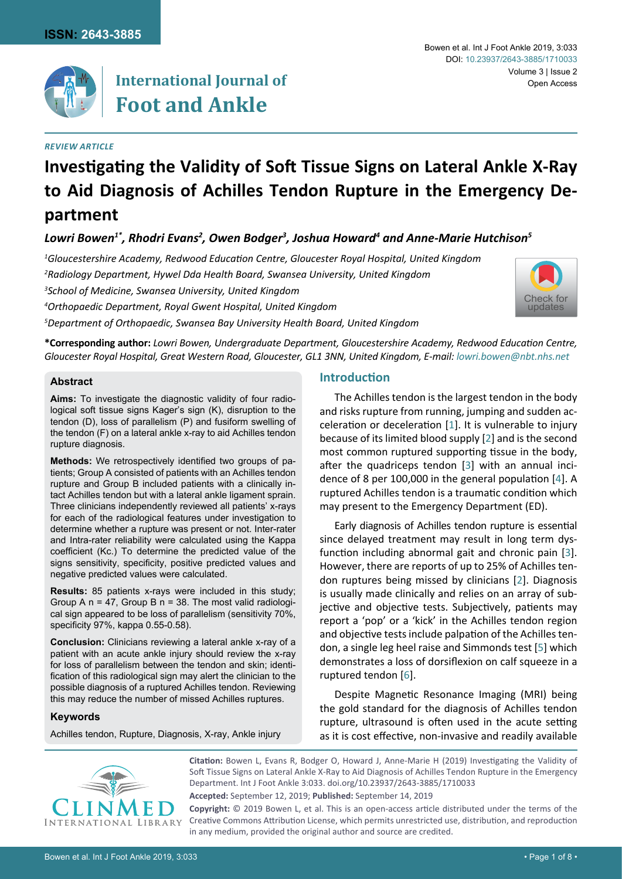

# **International Journal of Foot and Ankle**

## *Review article*

#### Bowen et al. Int J Foot Ankle 2019, 3:033 Volume 3 | Issue 2 DOI: [10.23937/2643-3885/1710033](https://doi.org/10.23937/2643-3885/1710033) Open Access

# **Investigating the Validity of Soft Tissue Signs on Lateral Ankle X-Ray to Aid Diagnosis of Achilles Tendon Rupture in the Emergency Department**

## Lowri Bowen<sup>1\*</sup>, Rhodri Evans<sup>2</sup>, Owen Bodger<sup>3</sup>, Joshua Howard<sup>4</sup> and Anne-Marie Hutchison<sup>s</sup>

*1 Gloucestershire Academy, Redwood Education Centre, Gloucester Royal Hospital, United Kingdom*

*2 Radiology Department, Hywel Dda Health Board, Swansea University, United Kingdom*

*3 School of Medicine, Swansea University, United Kingdom*

*4 Orthopaedic Department, Royal Gwent Hospital, United Kingdom*

*5 Department of Orthopaedic, Swansea Bay University Health Board, United Kingdom*



**\*Corresponding author:** *Lowri Bowen, Undergraduate Department, Gloucestershire Academy, Redwood Education Centre, Gloucester Royal Hospital, Great Western Road, Gloucester, GL1 3NN, United Kingdom, E-mail: lowri.bowen@nbt.nhs.net*

## **Abstract**

**Aims:** To investigate the diagnostic validity of four radiological soft tissue signs Kager's sign (K), disruption to the tendon (D), loss of parallelism (P) and fusiform swelling of the tendon (F) on a lateral ankle x-ray to aid Achilles tendon rupture diagnosis.

**Methods:** We retrospectively identified two groups of patients; Group A consisted of patients with an Achilles tendon rupture and Group B included patients with a clinically intact Achilles tendon but with a lateral ankle ligament sprain. Three clinicians independently reviewed all patients' x-rays for each of the radiological features under investigation to determine whether a rupture was present or not. Inter-rater and Intra-rater reliability were calculated using the Kappa coefficient (Kc.) To determine the predicted value of the signs sensitivity, specificity, positive predicted values and negative predicted values were calculated.

**Results:** 85 patients x-rays were included in this study; Group A  $n = 47$ , Group B  $n = 38$ . The most valid radiological sign appeared to be loss of parallelism (sensitivity 70%, specificity 97%, kappa 0.55-0.58).

**Conclusion:** Clinicians reviewing a lateral ankle x-ray of a patient with an acute ankle injury should review the x-ray for loss of parallelism between the tendon and skin; identification of this radiological sign may alert the clinician to the possible diagnosis of a ruptured Achilles tendon. Reviewing this may reduce the number of missed Achilles ruptures.

## **Keywords**

Achilles tendon, Rupture, Diagnosis, X-ray, Ankle injury

## **Introduction**

The Achilles tendon is the largest tendon in the body and risks rupture from running, jumping and sudden acceleration or deceleration [[1](#page-5-0)]. It is vulnerable to injury because of its limited blood supply [[2](#page-5-1)] and is the second most common ruptured supporting tissue in the body, after the quadriceps tendon [\[3\]](#page-5-2) with an annual incidence of 8 per 100,000 in the general population [[4](#page-5-3)]. A ruptured Achilles tendon is a traumatic condition which may present to the Emergency Department (ED).

Early diagnosis of Achilles tendon rupture is essential since delayed treatment may result in long term dysfunction including abnormal gait and chronic pain [[3\]](#page-5-2). However, there are reports of up to 25% of Achilles tendon ruptures being missed by clinicians [[2](#page-5-1)]. Diagnosis is usually made clinically and relies on an array of subjective and objective tests. Subjectively, patients may report a 'pop' or a 'kick' in the Achilles tendon region and objective tests include palpation of the Achilles tendon, a single leg heel raise and Simmonds test [[5](#page-5-4)] which demonstrates a loss of dorsiflexion on calf squeeze in a ruptured tendon [[6](#page-5-5)].

Despite Magnetic Resonance Imaging (MRI) being the gold standard for the diagnosis of Achilles tendon rupture, ultrasound is often used in the acute setting as it is cost effective, non-invasive and readily available



**Citation:** Bowen L, Evans R, Bodger O, Howard J, Anne-Marie H (2019) Investigating the Validity of Soft Tissue Signs on Lateral Ankle X-Ray to Aid Diagnosis of Achilles Tendon Rupture in the Emergency Department. Int J Foot Ankle 3:033. [doi.org/10.23937/2643-3885/1710033](https://doi.org/10.23937/2643-3885/1710033)

**Accepted:** September 12, 2019; **Published:** September 14, 2019

**Copyright:** © 2019 Bowen L, et al. This is an open-access article distributed under the terms of the Creative Commons Attribution License, which permits unrestricted use, distribution, and reproduction in any medium, provided the original author and source are credited.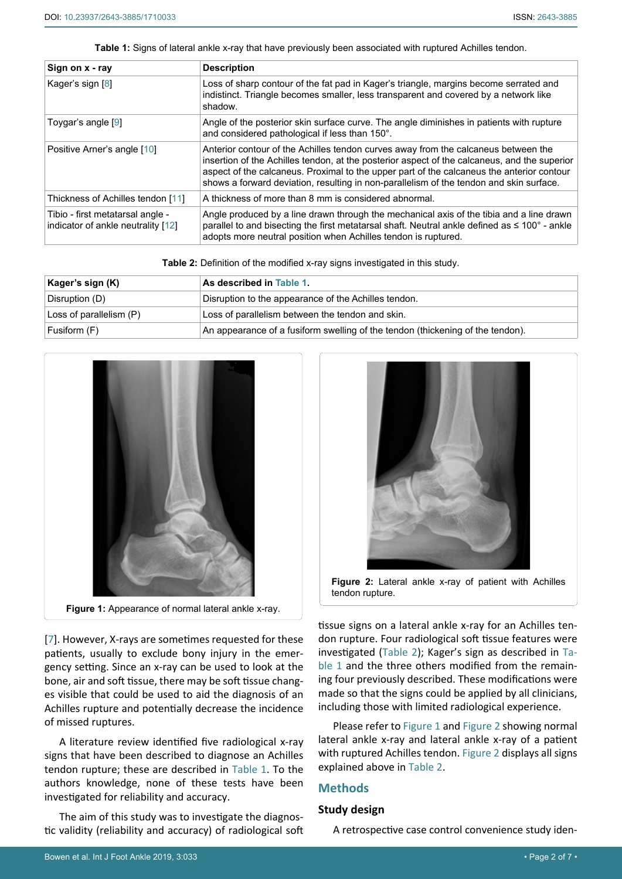<span id="page-1-1"></span>**Table 1:** Signs of lateral ankle x-ray that have previously been associated with ruptured Achilles tendon.

| Sign on x - ray                                                        | <b>Description</b>                                                                                                                                                                                                                                                                                                                                                         |
|------------------------------------------------------------------------|----------------------------------------------------------------------------------------------------------------------------------------------------------------------------------------------------------------------------------------------------------------------------------------------------------------------------------------------------------------------------|
| Kager's sign [8]                                                       | Loss of sharp contour of the fat pad in Kager's triangle, margins become serrated and<br>indistinct. Triangle becomes smaller, less transparent and covered by a network like<br>shadow.                                                                                                                                                                                   |
| Toygar's angle [9]                                                     | Angle of the posterior skin surface curve. The angle diminishes in patients with rupture<br>and considered pathological if less than 150°.                                                                                                                                                                                                                                 |
| Positive Arner's angle [10]                                            | Anterior contour of the Achilles tendon curves away from the calcaneus between the<br>insertion of the Achilles tendon, at the posterior aspect of the calcaneus, and the superior<br>aspect of the calcaneus. Proximal to the upper part of the calcaneus the anterior contour<br>shows a forward deviation, resulting in non-parallelism of the tendon and skin surface. |
| Thickness of Achilles tendon [11]                                      | A thickness of more than 8 mm is considered abnormal.                                                                                                                                                                                                                                                                                                                      |
| Tibio - first metatarsal angle -<br>indicator of ankle neutrality [12] | Angle produced by a line drawn through the mechanical axis of the tibia and a line drawn<br>parallel to and bisecting the first metatarsal shaft. Neutral ankle defined as $\leq 100^{\circ}$ - ankle<br>adopts more neutral position when Achilles tendon is ruptured.                                                                                                    |

<span id="page-1-0"></span>**Table 2:** Definition of the modified x-ray signs investigated in this study.

| Kager's sign (K)        | ⊦As described in Table 1.                                                      |
|-------------------------|--------------------------------------------------------------------------------|
| Disruption (D)          | Disruption to the appearance of the Achilles tendon.                           |
| Loss of parallelism (P) | Loss of parallelism between the tendon and skin.                               |
| Fusiform (F)            | An appearance of a fusiform swelling of the tendon (thickening of the tendon). |

<span id="page-1-2"></span>

[[7](#page-5-6)]. However, X-rays are sometimes requested for these patients, usually to exclude bony injury in the emergency setting. Since an x-ray can be used to look at the bone, air and soft tissue, there may be soft tissue changes visible that could be used to aid the diagnosis of an Achilles rupture and potentially decrease the incidence of missed ruptures.

A literature review identified five radiological x-ray signs that have been described to diagnose an Achilles tendon rupture; these are described in [Table 1](#page-1-1). To the authors knowledge, none of these tests have been investigated for reliability and accuracy.

The aim of this study was to investigate the diagnostic validity (reliability and accuracy) of radiological soft

<span id="page-1-3"></span>

tissue signs on a lateral ankle x-ray for an Achilles tendon rupture. Four radiological soft tissue features were investigated [\(Table 2\)](#page-1-0); Kager's sign as described in [Ta](#page-1-1)[ble 1](#page-1-1) and the three others modified from the remaining four previously described. These modifications were made so that the signs could be applied by all clinicians, including those with limited radiological experience.

Please refer to [Figure 1](#page-1-2) and [Figure 2](#page-1-3) showing normal lateral ankle x-ray and lateral ankle x-ray of a patient with ruptured Achilles tendon. [Figure 2](#page-1-3) displays all signs explained above in [Table 2.](#page-1-0)

## **Methods**

## **Study design**

A retrospective case control convenience study iden-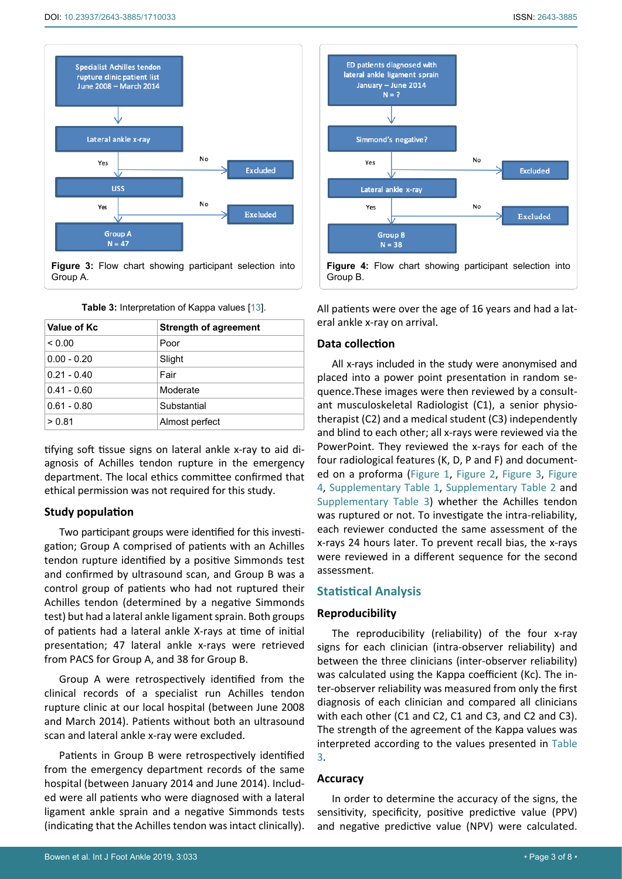<span id="page-2-0"></span>

**Figure 3:** Flow chart showing participant selection into Group A.

| Value of Kc   | <b>Strength of agreement</b> |
|---------------|------------------------------|
| ${}_{0.00}$   | Poor                         |
| $0.00 - 0.20$ | Slight                       |
| $0.21 - 0.40$ | Fair                         |
| $0.41 - 0.60$ | Moderate                     |
| $0.61 - 0.80$ | Substantial                  |
| > 0.81        | Almost perfect               |

<span id="page-2-2"></span>**Table 3:** Interpretation of Kappa values [[13\]](#page-5-12).

tifying soft tissue signs on lateral ankle x-ray to aid diagnosis of Achilles tendon rupture in the emergency department. The local ethics committee confirmed that ethical permission was not required for this study.

## **Study population**

Two participant groups were identified for this investigation; Group A comprised of patients with an Achilles tendon rupture identified by a positive Simmonds test and confirmed by ultrasound scan, and Group B was a control group of patients who had not ruptured their Achilles tendon (determined by a negative Simmonds test) but had a lateral ankle ligament sprain. Both groups of patients had a lateral ankle X-rays at time of initial presentation; 47 lateral ankle x-rays were retrieved from PACS for Group A, and 38 for Group B.

Group A were retrospectively identified from the clinical records of a specialist run Achilles tendon rupture clinic at our local hospital (between June 2008 and March 2014). Patients without both an ultrasound scan and lateral ankle x-ray were excluded.

Patients in Group B were retrospectively identified from the emergency department records of the same hospital (between January 2014 and June 2014). Included were all patients who were diagnosed with a lateral ligament ankle sprain and a negative Simmonds tests (indicating that the Achilles tendon was intact clinically).

<span id="page-2-1"></span>

All patients were over the age of 16 years and had a lateral ankle x-ray on arrival.

## **Data collection**

All x-rays included in the study were anonymised and placed into a power point presentation in random sequence.These images were then reviewed by a consultant musculoskeletal Radiologist (C1), a senior physiotherapist (C2) and a medical student (C3) independently and blind to each other; all x-rays were reviewed via the PowerPoint. They reviewed the x-rays for each of the four radiological features (K, D, P and F) and documented on a proforma [\(Figure 1](#page-1-2), [Figure 2](#page-1-3), [Figure 3](#page-2-0), [Figure](#page-2-1)  [4](#page-2-1), [Supplementary Table 1](#page-6-0), [Supplementary Table 2](#page-6-1) and [Supplementary Table 3](#page-7-0)) whether the Achilles tendon was ruptured or not. To investigate the intra-reliability, each reviewer conducted the same assessment of the x-rays 24 hours later. To prevent recall bias, the x-rays were reviewed in a different sequence for the second assessment.

## **Statistical Analysis**

## **Reproducibility**

The reproducibility (reliability) of the four x-ray signs for each clinician (intra-observer reliability) and between the three clinicians (inter-observer reliability) was calculated using the Kappa coefficient (Kc). The inter-observer reliability was measured from only the first diagnosis of each clinician and compared all clinicians with each other (C1 and C2, C1 and C3, and C2 and C3). The strength of the agreement of the Kappa values was interpreted according to the values presented in [Table](#page-2-2)  [3](#page-2-2).

#### **Accuracy**

In order to determine the accuracy of the signs, the sensitivity, specificity, positive predictive value (PPV) and negative predictive value (NPV) were calculated.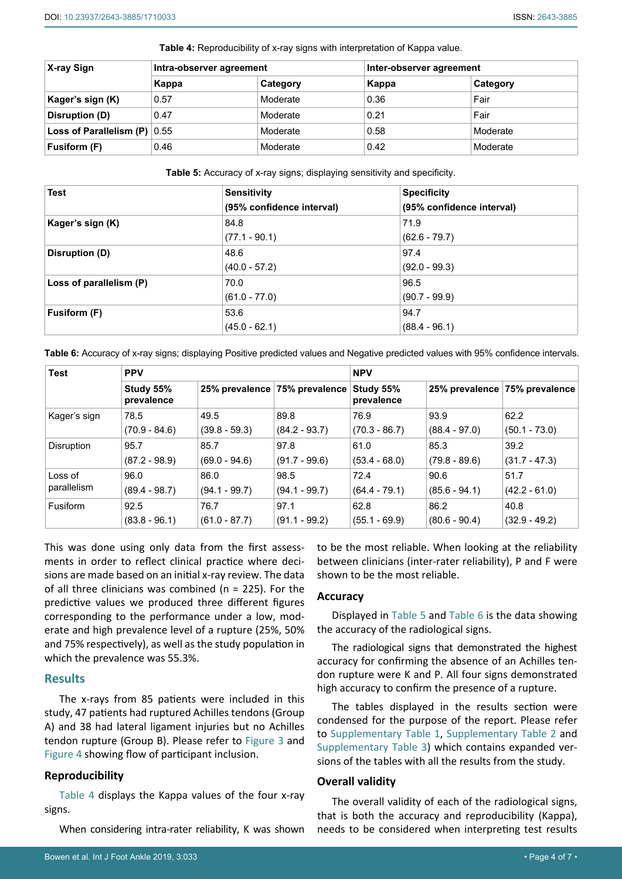| X-ray Sign                       | Intra-observer agreement |          | Inter-observer agreement |          |
|----------------------------------|--------------------------|----------|--------------------------|----------|
|                                  | Kappa                    | Category | Kappa                    | Category |
| Kager's sign (K)                 | 0.57                     | Moderate | 0.36                     | Fair     |
| Disruption (D)                   | 0.47                     | Moderate | 0.21                     | Fair     |
| Loss of Parallelism (P) $ 0.55 $ |                          | Moderate | 0.58                     | Moderate |
| Fusiform (F)                     | 0.46                     | Moderate | 0.42                     | Moderate |

<span id="page-3-2"></span>**Table 4:** Reproducibility of x-ray signs with interpretation of Kappa value.

<span id="page-3-0"></span>**Table 5:** Accuracy of x-ray signs; displaying sensitivity and specificity.

| <b>Test</b>             | <b>Sensitivity</b>        | <b>Specificity</b>        |  |
|-------------------------|---------------------------|---------------------------|--|
|                         | (95% confidence interval) | (95% confidence interval) |  |
| Kager's sign (K)        | 84.8                      | 71.9                      |  |
|                         | $(77.1 - 90.1)$           | $(62.6 - 79.7)$           |  |
| Disruption (D)          | 48.6                      | 97.4                      |  |
|                         | $(40.0 - 57.2)$           | $(92.0 - 99.3)$           |  |
| Loss of parallelism (P) | 70.0                      | 96.5                      |  |
|                         | $(61.0 - 77.0)$           | $(90.7 - 99.9)$           |  |
| Fusiform (F)            | 53.6                      | 94.7                      |  |
|                         | $(45.0 - 62.1)$           | $(88.4 - 96.1)$           |  |

<span id="page-3-1"></span>**Table 6:** Accuracy of x-ray signs; displaying Positive predicted values and Negative predicted values with 95% confidence intervals.

| <b>Test</b>       | <b>PPV</b>              |                 |                 | <b>NPV</b>              |                 |                 |
|-------------------|-------------------------|-----------------|-----------------|-------------------------|-----------------|-----------------|
|                   | Study 55%<br>prevalence | 25% prevalence  | 75% prevalence  | Study 55%<br>prevalence | 25% prevalence  | 75% prevalence  |
| Kager's sign      | 78.5                    | 49.5            | 89.8            | 76.9                    | 93.9            | 62.2            |
|                   | $(70.9 - 84.6)$         | $(39.8 - 59.3)$ | $(84.2 - 93.7)$ | $(70.3 - 86.7)$         | $(88.4 - 97.0)$ | $(50.1 - 73.0)$ |
| <b>Disruption</b> | 95.7                    | 85.7            | 97.8            | 61.0                    | 85.3            | 39.2            |
|                   | $(87.2 - 98.9)$         | $(69.0 - 94.6)$ | $(91.7 - 99.6)$ | $(53.4 - 68.0)$         | $(79.8 - 89.6)$ | $(31.7 - 47.3)$ |
| Loss of           | 96.0                    | 86.0            | 98.5            | 72.4                    | 90.6            | 51.7            |
| parallelism       | $(89.4 - 98.7)$         | $(94.1 - 99.7)$ | $(94.1 - 99.7)$ | $(64.4 - 79.1)$         | $(85.6 - 94.1)$ | $(42.2 - 61.0)$ |
| Fusiform          | 92.5                    | 76.7            | 97.1            | 62.8                    | 86.2            | 40.8            |
|                   | $(83.8 - 96.1)$         | $(61.0 - 87.7)$ | $(91.1 - 99.2)$ | $(55.1 - 69.9)$         | $(80.6 - 90.4)$ | $(32.9 - 49.2)$ |

This was done using only data from the first assessments in order to reflect clinical practice where decisions are made based on an initial x-ray review. The data of all three clinicians was combined ( $n = 225$ ). For the predictive values we produced three different figures corresponding to the performance under a low, moderate and high prevalence level of a rupture (25%, 50% and 75% respectively), as well as the study population in which the prevalence was 55.3%.

## **Results**

The x-rays from 85 patients were included in this study, 47 patients had ruptured Achilles tendons (Group A) and 38 had lateral ligament injuries but no Achilles tendon rupture (Group B). Please refer to [Figure 3](#page-2-0) and [Figure 4](#page-2-1) showing flow of participant inclusion.

## **Reproducibility**

[Table 4](#page-3-2) displays the Kappa values of the four x-ray signs.

When considering intra-rater reliability, K was shown

to be the most reliable. When looking at the reliability between clinicians (inter-rater reliability), P and F were shown to be the most reliable.

## **Accuracy**

Displayed in [Table 5](#page-3-0) and [Table 6](#page-3-1) is the data showing the accuracy of the radiological signs.

The radiological signs that demonstrated the highest accuracy for confirming the absence of an Achilles tendon rupture were K and P. All four signs demonstrated high accuracy to confirm the presence of a rupture.

The tables displayed in the results section were condensed for the purpose of the report. Please refer to [Supplementary Table 1](#page-6-0), [Supplementary Table 2](#page-6-1) and [Supplementary Table 3\)](#page-7-0) which contains expanded versions of the tables with all the results from the study.

## **Overall validity**

The overall validity of each of the radiological signs, that is both the accuracy and reproducibility (Kappa), needs to be considered when interpreting test results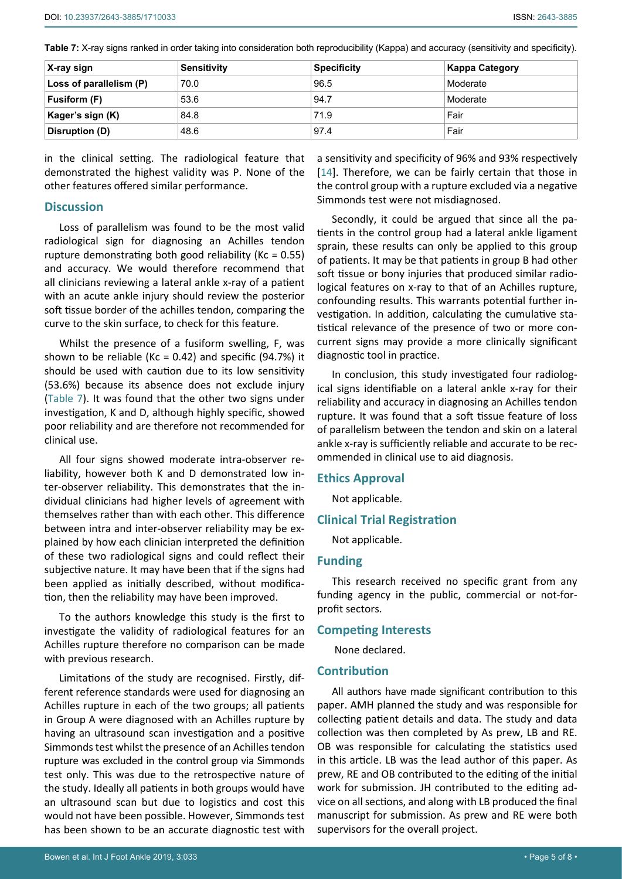<span id="page-4-0"></span>

| X-ray sign              | <b>Sensitivity</b> | <b>Specificity</b> | <b>Kappa Category</b> |
|-------------------------|--------------------|--------------------|-----------------------|
| Loss of parallelism (P) | 70.0               | 96.5               | Moderate              |
| Fusiform (F)            | 53.6               | 94.7               | Moderate              |
| Kager's sign (K)        | 84.8               | 71.9               | Fair                  |
| Disruption (D)          | 48.6               | 97.4               | Fair                  |

in the clinical setting. The radiological feature that demonstrated the highest validity was P. None of the other features offered similar performance.

## **Discussion**

Loss of parallelism was found to be the most valid radiological sign for diagnosing an Achilles tendon rupture demonstrating both good reliability ( $Kc = 0.55$ ) and accuracy. We would therefore recommend that all clinicians reviewing a lateral ankle x-ray of a patient with an acute ankle injury should review the posterior soft tissue border of the achilles tendon, comparing the curve to the skin surface, to check for this feature.

Whilst the presence of a fusiform swelling, F, was shown to be reliable (Kc =  $0.42$ ) and specific (94.7%) it should be used with caution due to its low sensitivity (53.6%) because its absence does not exclude injury ([Table 7](#page-4-0)). It was found that the other two signs under investigation, K and D, although highly specific, showed poor reliability and are therefore not recommended for clinical use.

All four signs showed moderate intra-observer reliability, however both K and D demonstrated low inter-observer reliability. This demonstrates that the individual clinicians had higher levels of agreement with themselves rather than with each other. This difference between intra and inter-observer reliability may be explained by how each clinician interpreted the definition of these two radiological signs and could reflect their subjective nature. It may have been that if the signs had been applied as initially described, without modification, then the reliability may have been improved.

To the authors knowledge this study is the first to investigate the validity of radiological features for an Achilles rupture therefore no comparison can be made with previous research.

Limitations of the study are recognised. Firstly, different reference standards were used for diagnosing an Achilles rupture in each of the two groups; all patients in Group A were diagnosed with an Achilles rupture by having an ultrasound scan investigation and a positive Simmonds test whilst the presence of an Achilles tendon rupture was excluded in the control group via Simmonds test only. This was due to the retrospective nature of the study. Ideally all patients in both groups would have an ultrasound scan but due to logistics and cost this would not have been possible. However, Simmonds test has been shown to be an accurate diagnostic test with a sensitivity and specificity of 96% and 93% respectively [\[14](#page-5-13)]. Therefore, we can be fairly certain that those in the control group with a rupture excluded via a negative Simmonds test were not misdiagnosed.

Secondly, it could be argued that since all the patients in the control group had a lateral ankle ligament sprain, these results can only be applied to this group of patients. It may be that patients in group B had other soft tissue or bony injuries that produced similar radiological features on x-ray to that of an Achilles rupture, confounding results. This warrants potential further investigation. In addition, calculating the cumulative statistical relevance of the presence of two or more concurrent signs may provide a more clinically significant diagnostic tool in practice.

In conclusion, this study investigated four radiological signs identifiable on a lateral ankle x-ray for their reliability and accuracy in diagnosing an Achilles tendon rupture. It was found that a soft tissue feature of loss of parallelism between the tendon and skin on a lateral ankle x-ray is sufficiently reliable and accurate to be recommended in clinical use to aid diagnosis.

#### **Ethics Approval**

Not applicable.

## **Clinical Trial Registration**

Not applicable.

#### **Funding**

This research received no specific grant from any funding agency in the public, commercial or not-forprofit sectors.

## **Competing Interests**

None declared.

## **Contribution**

All authors have made significant contribution to this paper. AMH planned the study and was responsible for collecting patient details and data. The study and data collection was then completed by As prew, LB and RE. OB was responsible for calculating the statistics used in this article. LB was the lead author of this paper. As prew, RE and OB contributed to the editing of the initial work for submission. JH contributed to the editing advice on all sections, and along with LB produced the final manuscript for submission. As prew and RE were both supervisors for the overall project.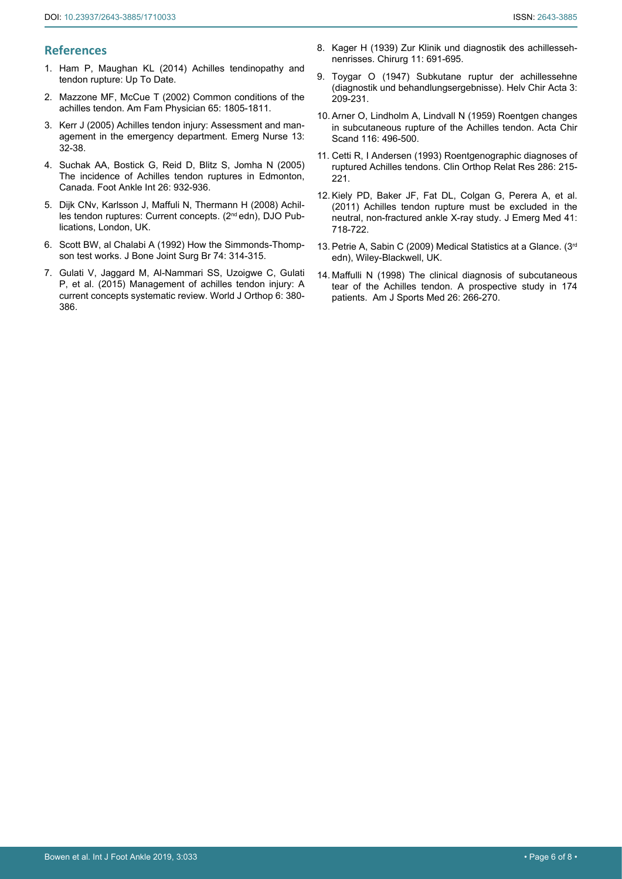## **References**

- <span id="page-5-0"></span>1. [Ham P, Maughan KL \(2014\) Achilles tendinopathy and](https://www.uptodate.com/contents/achilles-tendinopathy-and-tendon-rupture)  [tendon rupture: Up To Date.](https://www.uptodate.com/contents/achilles-tendinopathy-and-tendon-rupture)
- <span id="page-5-1"></span>2. [Mazzone MF, McCue T \(2002\) Common conditions of the](https://www.aafp.org/afp/2002/0501/p1805.html)  [achilles tendon. Am Fam Physician 65: 1805-1811.](https://www.aafp.org/afp/2002/0501/p1805.html)
- <span id="page-5-2"></span>3. [Kerr J \(2005\) Achilles tendon injury: Assessment and man](https://www.ncbi.nlm.nih.gov/pubmed/15912711)[agement in the emergency department. Emerg Nurse 13:](https://www.ncbi.nlm.nih.gov/pubmed/15912711)  [32-38.](https://www.ncbi.nlm.nih.gov/pubmed/15912711)
- <span id="page-5-3"></span>4. [Suchak AA, Bostick G, Reid D, Blitz S, Jomha N \(2005\)](https://www.ncbi.nlm.nih.gov/pubmed/16309606)  [The incidence of Achilles tendon ruptures in Edmonton,](https://www.ncbi.nlm.nih.gov/pubmed/16309606)  [Canada. Foot Ankle Int 26: 932-936.](https://www.ncbi.nlm.nih.gov/pubmed/16309606)
- <span id="page-5-4"></span>5. Dijk CNv, Karlsson J, Maffuli N, Thermann H (2008) Achilles tendon ruptures: Current concepts. (2nd edn), DJO Publications, London, UK.
- <span id="page-5-5"></span>6. [Scott BW, al Chalabi A \(1992\) How the Simmonds-Thomp](https://www.ncbi.nlm.nih.gov/pubmed/1544978)[son test works. J Bone Joint Surg Br 74: 314-315.](https://www.ncbi.nlm.nih.gov/pubmed/1544978)
- <span id="page-5-6"></span>7. [Gulati V, Jaggard M, Al-Nammari SS, Uzoigwe C, Gulati](https://www.ncbi.nlm.nih.gov/pmc/articles/PMC4436906/)  [P, et al. \(2015\) Management of achilles tendon injury: A](https://www.ncbi.nlm.nih.gov/pmc/articles/PMC4436906/)  [current concepts systematic review. World J Orthop 6: 380-](https://www.ncbi.nlm.nih.gov/pmc/articles/PMC4436906/) [386.](https://www.ncbi.nlm.nih.gov/pmc/articles/PMC4436906/)
- <span id="page-5-7"></span>8. Kager H (1939) Zur Klinik und diagnostik des achillessehnenrisses. Chirurg 11: 691-695.
- <span id="page-5-8"></span>9. [Toygar O \(1947\) Subkutane ruptur der achillessehne](https://www.ncbi.nlm.nih.gov/pubmed/20258650)  [\(diagnostik und behandlungsergebnisse\). Helv Chir Acta 3:](https://www.ncbi.nlm.nih.gov/pubmed/20258650)  [209-231.](https://www.ncbi.nlm.nih.gov/pubmed/20258650)
- <span id="page-5-9"></span>10. [Arner O, Lindholm A, Lindvall N \(1959\) Roentgen changes](https://www.ncbi.nlm.nih.gov/pubmed/13660719)  [in subcutaneous rupture of the Achilles tendon. Acta Chir](https://www.ncbi.nlm.nih.gov/pubmed/13660719)  [Scand 116: 496-500.](https://www.ncbi.nlm.nih.gov/pubmed/13660719)
- <span id="page-5-10"></span>11. [Cetti R, I Andersen \(1993\) Roentgenographic diagnoses of](https://www.ncbi.nlm.nih.gov/pubmed/8425349)  [ruptured Achilles tendons. Clin Orthop Relat Res 286: 215-](https://www.ncbi.nlm.nih.gov/pubmed/8425349) [221.](https://www.ncbi.nlm.nih.gov/pubmed/8425349)
- <span id="page-5-11"></span>12. [Kiely PD, Baker JF, Fat DL, Colgan G, Perera A, et al.](https://www.ncbi.nlm.nih.gov/pubmed/20580519)  [\(2011\) Achilles tendon rupture must be excluded in the](https://www.ncbi.nlm.nih.gov/pubmed/20580519)  [neutral, non-fractured ankle X-ray study. J Emerg Med 41:](https://www.ncbi.nlm.nih.gov/pubmed/20580519)  [718-722.](https://www.ncbi.nlm.nih.gov/pubmed/20580519)
- <span id="page-5-12"></span>13. [Petrie A, Sabin C \(2009\) Medical Statistics at a Glance. \(3rd](https://www.ncbi.nlm.nih.gov/pmc/articles/PMC2849533/)  [edn\), Wiley-Blackwell, UK.](https://www.ncbi.nlm.nih.gov/pmc/articles/PMC2849533/)
- <span id="page-5-13"></span>14. [Maffulli N \(1998\) The clinical diagnosis of subcutaneous](https://www.ncbi.nlm.nih.gov/pubmed/9548122)  [tear of the Achilles tendon. A prospective study in 174](https://www.ncbi.nlm.nih.gov/pubmed/9548122)  [patients. Am J Sports Med 26: 266-270.](https://www.ncbi.nlm.nih.gov/pubmed/9548122)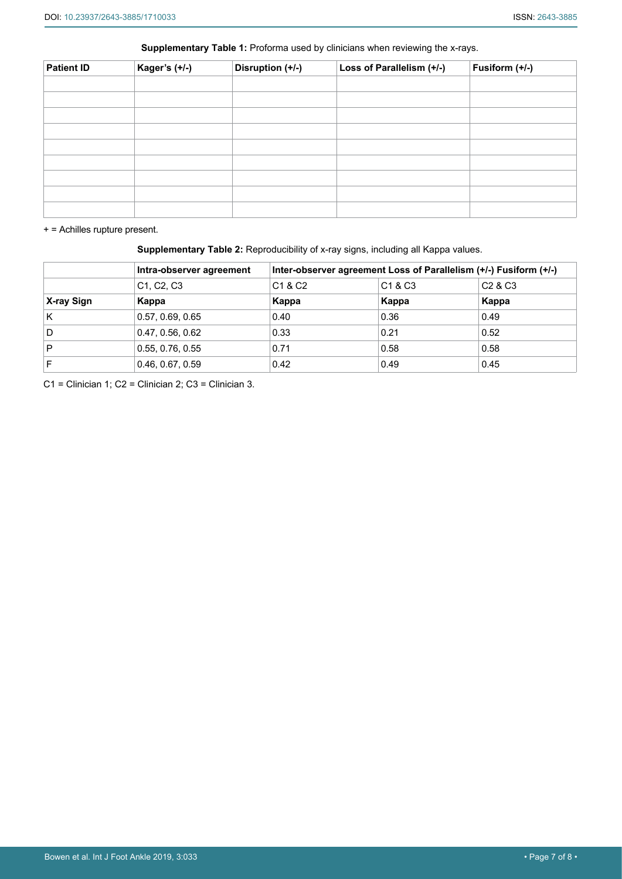| Kager's (+/-) | Disruption (+/-) | Loss of Parallelism (+/-) | Fusiform (+/-) |
|---------------|------------------|---------------------------|----------------|
|               |                  |                           |                |
|               |                  |                           |                |
|               |                  |                           |                |
|               |                  |                           |                |
|               |                  |                           |                |
|               |                  |                           |                |
|               |                  |                           |                |
|               |                  |                           |                |
|               |                  |                           |                |

<span id="page-6-0"></span>**Supplementary Table 1:** Proforma used by clinicians when reviewing the x-rays.

+ = Achilles rupture present.

<span id="page-6-1"></span>**Supplementary Table 2:** Reproducibility of x-ray signs, including all Kappa values.

|            | Intra-observer agreement                         | Inter-observer agreement Loss of Parallelism (+/-) Fusiform (+/-) |                                 |                  |  |
|------------|--------------------------------------------------|-------------------------------------------------------------------|---------------------------------|------------------|--|
|            | C <sub>1</sub> , C <sub>2</sub> , C <sub>3</sub> | C <sub>1</sub> & C <sub>2</sub>                                   | C <sub>1</sub> & C <sub>3</sub> | $^\circ$ C2 & C3 |  |
| X-ray Sign | Kappa                                            | Kappa                                                             | Kappa                           | Kappa            |  |
| K          | 0.57, 0.69, 0.65                                 | 0.40                                                              | 0.36                            | 0.49             |  |
| D          | 0.47, 0.56, 0.62                                 | 0.33                                                              | 0.21                            | 0.52             |  |
| P          | 0.55, 0.76, 0.55                                 | 0.71                                                              | 0.58                            | 0.58             |  |
| F          | 0.46, 0.67, 0.59                                 | 0.42                                                              | 0.49                            | 0.45             |  |

C1 = Clinician 1; C2 = Clinician 2; C3 = Clinician 3.